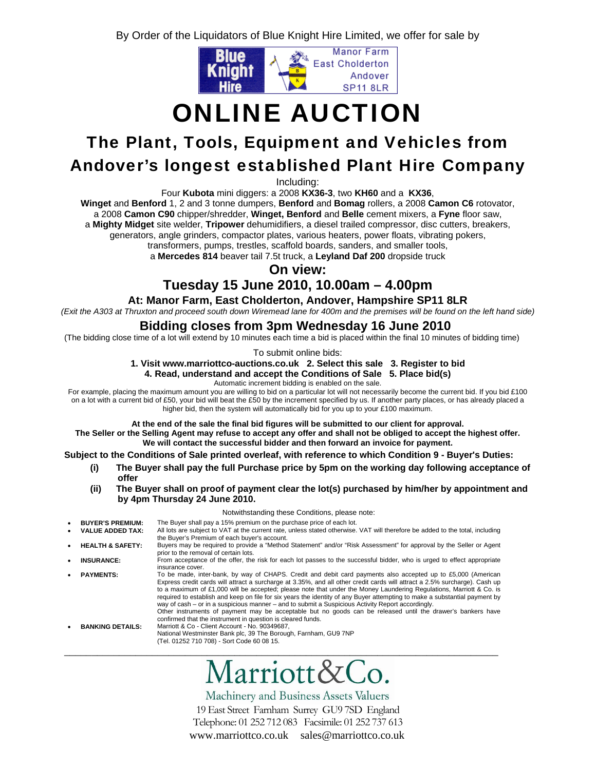By Order of the Liquidators of Blue Knight Hire Limited, we offer for sale by



# ONLINE AUCTION

# The Plant, Tools, Equipment and Vehicles from Andover's longest established Plant Hire Company

Including:

Four **Kubota** mini diggers: a 2008 **KX36-3**, two **KH60** and a **KX36**,

**Winget** and **Benford** 1, 2 and 3 tonne dumpers, **Benford** and **Bomag** rollers, a 2008 **Camon C6** rotovator,

a 2008 **Camon C90** chipper/shredder, **Winget, Benford** and **Belle** cement mixers, a **Fyne** floor saw,

a **Mighty Midget** site welder, **Tripower** dehumidifiers, a diesel trailed compressor, disc cutters, breakers,

generators, angle grinders, compactor plates, various heaters, power floats, vibrating pokers,

transformers, pumps, trestles, scaffold boards, sanders, and smaller tools,

a **Mercedes 814** beaver tail 7.5t truck, a **Leyland Daf 200** dropside truck

**On view:**

**Tuesday 15 June 2010, 10.00am – 4.00pm** 

# **At: Manor Farm, East Cholderton, Andover, Hampshire SP11 8LR**

*(Exit the A303 at Thruxton and proceed south down Wiremead lane for 400m and the premises will be found on the left hand side)* 

# **Bidding closes from 3pm Wednesday 16 June 2010**

(The bidding close time of a lot will extend by 10 minutes each time a bid is placed within the final 10 minutes of bidding time)

To submit online bids:

# **1. Visit www.marriottco-auctions.co.uk 2. Select this sale 3. Register to bid**

**4. Read, understand and accept the Conditions of Sale 5. Place bid(s)** 

Automatic increment bidding is enabled on the sale.

For example, placing the maximum amount you are willing to bid on a particular lot will not necessarily become the current bid. If you bid £100 on a lot with a current bid of £50, your bid will beat the £50 by the increment specified by us. If another party places, or has already placed a higher bid, then the system will automatically bid for you up to your £100 maximum.

**At the end of the sale the final bid figures will be submitted to our client for approval.** 

**The Seller or the Selling Agent may refuse to accept any offer and shall not be obliged to accept the highest offer. We will contact the successful bidder and then forward an invoice for payment.**

**Subject to the Conditions of Sale printed overleaf, with reference to which Condition 9 - Buyer's Duties:** 

- **(i) The Buyer shall pay the full Purchase price by 5pm on the working day following acceptance of offer**
- **(ii) The Buyer shall on proof of payment clear the lot(s) purchased by him/her by appointment and by 4pm Thursday 24 June 2010.**

Notwithstanding these Conditions, please note:

| $\bullet$ | <b>BUYER'S PREMIUM:</b>     | The Buyer shall pay a 15% premium on the purchase price of each lot.                                                                                                                                                                                                                                                                                                                                                                                                                                                                                                                                                                                                                                                                                                               |
|-----------|-----------------------------|------------------------------------------------------------------------------------------------------------------------------------------------------------------------------------------------------------------------------------------------------------------------------------------------------------------------------------------------------------------------------------------------------------------------------------------------------------------------------------------------------------------------------------------------------------------------------------------------------------------------------------------------------------------------------------------------------------------------------------------------------------------------------------|
|           | <b>VALUE ADDED TAX:</b>     | All lots are subject to VAT at the current rate, unless stated otherwise. VAT will therefore be added to the total, including<br>the Buver's Premium of each buver's account.                                                                                                                                                                                                                                                                                                                                                                                                                                                                                                                                                                                                      |
|           | <b>HEALTH &amp; SAFETY:</b> | Buyers may be required to provide a "Method Statement" and/or "Risk Assessment" for approval by the Seller or Agent<br>prior to the removal of certain lots.                                                                                                                                                                                                                                                                                                                                                                                                                                                                                                                                                                                                                       |
|           | <b>INSURANCE:</b>           | From acceptance of the offer, the risk for each lot passes to the successful bidder, who is urged to effect appropriate<br>insurance cover.                                                                                                                                                                                                                                                                                                                                                                                                                                                                                                                                                                                                                                        |
| $\bullet$ | <b>PAYMENTS:</b>            | To be made, inter-bank, by way of CHAPS. Credit and debit card payments also accepted up to £5,000 (American<br>Express credit cards will attract a surcharge at 3.35%, and all other credit cards will attract a 2.5% surcharge). Cash up<br>to a maximum of £1,000 will be accepted; please note that under the Money Laundering Regulations, Marriott & Co. is<br>required to establish and keep on file for six years the identity of any Buyer attempting to make a substantial payment by<br>way of cash – or in a suspicious manner – and to submit a Suspicious Activity Report accordingly.<br>Other instruments of payment may be acceptable but no goods can be released until the drawer's bankers have<br>confirmed that the instrument in question is cleared funds. |
|           | <b>BANKING DETAILS:</b>     | Marriott & Co - Client Account - No. 90349687.<br>National Westminster Bank plc, 39 The Borough, Farnham, GU9 7NP<br>(Tel. 01252 710 708) - Sort Code 60 08 15.                                                                                                                                                                                                                                                                                                                                                                                                                                                                                                                                                                                                                    |



Machinery and Business Assets Valuers

19 East Street Farnham Surrey GU9 7SD England Telephone: 01 252 712 083 Facsimile: 01 252 737 613 www.marriottco.co.uk sales@marriottco.co.uk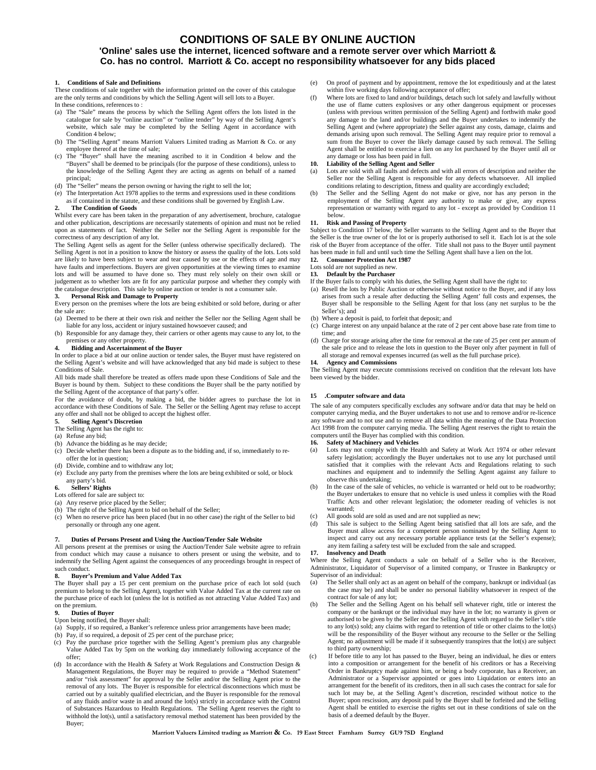# **CONDITIONS OF SALE BY ONLINE AUCTION**

### **'Online' sales use the internet, licenced software and a remote server over which Marriott & Co. has no control. Marriott & Co. accept no responsibility whatsoever for any bids placed**

### **1. Conditions of Sale and Definitions**

These conditions of sale together with the information printed on the cover of this catalogue are the only terms and conditions by which the Selling Agent will sell lots to a Buyer. In these conditions, references to :

- (a) The "Sale" means the process by which the Selling Agent offers the lots listed in the catalogue for sale by "online auction" or "online tender" by way of the Selling Agent's website, which sale may be completed by the Selling Agent in accordance with Condition 4 below;
- (b) The "Selling Agent" means Marriott Valuers Limited trading as Marriott & Co. or any employee thereof at the time of sale;
- (c) The "Buyer" shall have the meaning ascribed to it in Condition 4 below and the "Buyers" shall be deemed to be principals (for the purpose of these conditions), unless to the knowledge of the Selling Agent they are acting as agents on behalf of a named principal;
- (d) The "Seller" means the person owning or having the right to sell the lot;
- (e) The Interpretation Act 1978 applies to the terms and expressions used in these conditions as if contained in the statute, and these conditions shall be governed by English Law.

### **2. The Condition of Goods**

### Whilst every care has been taken in the preparation of any advertisement, brochure, catalogue and other publication, descriptions are necessarily statements of opinion and must not be relied upon as statements of fact. Neither the Seller nor the Selling Agent is responsible for the correctness of any description of any lot.

The Selling Agent sells as agent for the Seller (unless otherwise specifically declared). The Selling Agent is not in a position to know the history or assess the quality of the lots. Lots sold are likely to have been subject to wear and tear caused by use or the effects of age and may have faults and imperfections. Buyers are given opportunities at the viewing times to examine lots and will be assumed to have done so. They must rely solely on their own skill or judgement as to whether lots are fit for any particular purpose and whether they comply with the catalogue description. This sale by online auction or tender is not a consumer sale.

**3. Personal Risk and Damage to Property** Every person on the premises where the lots are being exhibited or sold before, during or after the sale are:

- (a) Deemed to be there at their own risk and neither the Seller nor the Selling Agent shall be liable for any loss, accident or injury sustained howsoever caused; and
- (b) Responsible for any damage they, their carriers or other agents may cause to any lot, to the premises or any other property.

### **4. Bidding and Ascertainment of the Buyer**

In order to place a bid at our online auction or tender sales, the Buyer must have registered on the Selling Agent's website and will have acknowledged that any bid made is subject to these Conditions of Sale.

All bids made shall therefore be treated as offers made upon these Conditions of Sale and the Buyer is bound by them. Subject to these conditions the Buyer shall be the party notified by the Selling Agent of the acceptance of that party's offer.

For the avoidance of doubt, by making a bid, the bidder agrees to purchase the lot in accordance with these Conditions of Sale. The Seller or the Selling Agent may refuse to accept any offer and shall not be obliged to accept the highest offer.

### **5. Selling Agent's Discretion**

### The Selling Agent has the right to:

- (a) Refuse any bid;
- (b) Advance the bidding as he may decide;
- (c) Decide whether there has been a dispute as to the bidding and, if so, immediately to reoffer the lot in question;
- (d) Divide, combine and to withdraw any lot;
- (e) Exclude any party from the premises where the lots are being exhibited or sold, or block any party's bid.

### **6. Sellers' Rights**

- Lots offered for sale are subject to:
- (a) Any reserve price placed by the Seller;
- (b) The right of the Selling Agent to bid on behalf of the Seller;
- (c) When no reserve price has been placed (but in no other case) the right of the Seller to bid personally or through any one agent.

### **7. Duties of Persons Present and Using the Auction/Tender Sale Website**

All persons present at the premises or using the Auction/Tender Sale website agree to refrain from conduct which may cause a nuisance to others present or using the website, and to indemnify the Selling Agent against the consequences of any proceedings brought in respect of such conduct.

### **8. Buyer's Premium and Value Added Tax**

The Buyer shall pay a 15 per cent premium on the purchase price of each lot sold (such premium to belong to the Selling Agent), together with Value Added Tax at the current rate on the purchase price of each lot (unless the lot is notified as not attracting Value Added Tax) and on the premium.

### **9. Duties of Buyer**

### Upon being notified, the Buyer shall:

- (a) Supply, if so required, a Banker's reference unless prior arrangements have been made;
- (b) Pay, if so required, a deposit of 25 per cent of the purchase price;
- (c) Pay the purchase price together with the Selling Agent's premium plus any chargeable Value Added Tax by 5pm on the working day immediately following acceptance of the offer;
- (d) In accordance with the Health & Safety at Work Regulations and Construction Design & Management Regulations, the Buyer may be required to provide a "Method Statement" and/or "risk assessment" for approval by the Seller and/or the Selling Agent prior to the removal of any lots. The Buyer is responsible for electrical disconnections which must be carried out by a suitably qualified electrician, and the Buyer is responsible for the removal of any fluids and/or waste in and around the lot(s) strictly in accordance with the Control of Substances Hazardous to Health Regulations. The Selling Agent reserves the right to withhold the lot(s), until a satisfactory removal method statement has been provided by the Buyer;
- (e) On proof of payment and by appointment, remove the lot expeditiously and at the latest within five working days following acceptance of offer;
- (f) Where lots are fixed to land and/or buildings, detach such lot safely and lawfully without the use of flame cutters explosives or any other dangerous equipment or processes (unless with previous written permission of the Selling Agent) and forthwith make good any damage to the land and/or buildings and the Buyer undertakes to indemnify the Selling Agent and (where appropriate) the Seller against any costs, damage, claims and demands arising upon such removal. The Selling Agent may require prior to removal a sum from the Buyer to cover the likely damage caused by such removal. The Selling Agent shall be entitled to exercise a lien on any lot purchased by the Buyer until all or any damage or loss has been paid in full.

### **10. Liability of the Selling Agent and Seller**

- (a) Lots are sold with all faults and defects and with all errors of description and neither the Seller nor the Selling Agent is responsible for any defects whatsoever. All implied conditions relating to description, fitness and quality are accordingly excluded;
- (b) The Seller and the Selling Agent do not make or give, nor has any person in the employment of the Selling Agent any authority to make or give, any express representation or warranty with regard to any lot - except as provided by Condition 11 below.

**11. Risk and Passing of Property** Subject to Condition 17 below, the Seller warrants to the Selling Agent and to the Buyer that the Seller is the true owner of the lot or is properly authorised to sell it. Each lot is at the sole risk of the Buyer from acceptance of the offer. Title shall not pass to the Buyer until payment has been made in full and until such time the Selling Agent shall have a lien on the lot.

# **12. Consumer Protection Act 1987**

### Lots sold are not supplied as new. **13. Default by the Purchaser**

- If the Buyer fails to comply with his duties, the Selling Agent shall have the right to:
- (a) Resell the lots by Public Auction or otherwise without notice to the Buyer, and if any loss arises from such a resale after deducting the Selling Agent' full costs and expenses, the Buyer shall be responsible to the Selling Agent for that loss (any net surplus to be the Seller's); and
- (b) Where a deposit is paid, to forfeit that deposit; and
- (c) Charge interest on any unpaid balance at the rate of 2 per cent above base rate from time to time; and
- (d) Charge for storage arising after the time for removal at the rate of 25 per cent per annum of the sale price and to release the lots in question to the Buyer only after payment in full of all storage and removal expenses incurred (as well as the full purchase price).

### **14. Agency and Commissions**

The Selling Agent may execute commissions received on condition that the relevant lots have been viewed by the bidder.

### **15 .Computer software and data**

The sale of any computers specifically excludes any software and/or data that may be held on computer carrying media, and the Buyer undertakes to not use and to remove and/or re-licence any software and to not use and to remove all data within the meaning of the Data Protection Act 1998 from the computer carrying media. The Selling Agent reserves the right to retain the computers until the Buyer has complied with this condition.

### **16. Safety of Machinery and Vehicles**

- (a) Lots may not comply with the Health and Safety at Work Act 1974 or other relevant safety legislation; accordingly the Buyer undertakes not to use any lot purchased until satisfied that it complies with the relevant Acts and Regulations relating to such machines and equipment and to indemnify the Selling Agent against any failure to observe this undertaking;
- (b) In the case of the sale of vehicles, no vehicle is warranted or held out to be roadworthy; the Buyer undertakes to ensure that no vehicle is used unless it complies with the Road Traffic Acts and other relevant legislation; the odometer reading of vehicles is not warranted;
- (c) All goods sold are sold as used and are not supplied as new;<br>(d) This sale is subject to the Selling Agent being satisfied the
- This sale is subject to the Selling Agent being satisfied that all lots are safe, and the Buyer must allow access for a competent person nominated by the Selling Agent to inspect and carry out any necessary portable appliance tests (at the Seller's expense); any item failing a safety test will be excluded from the sale and scrapped.

### **17. Insolvency and Death**

Where the Selling Agent conducts a sale on behalf of a Seller who is the Receiver, Administrator, Liquidator of Supervisor of a limited company, or Trustee in Bankruptcy or Supervisor of an individual:

- (a) The Seller shall only act as an agent on behalf of the company, bankrupt or individual (as the case may be) and shall be under no personal liability whatsoever in respect of the contract for sale of any lot;
- (b) The Seller and the Selling Agent on his behalf sell whatever right, title or interest the company or the bankrupt or the individual may have in the lot; no warranty is given or authorised to be given by the Seller nor the Selling Agent with regard to the Seller's title to any lot(s) sold; any claims with regard to retention of title or other claims to the lot(s) will be the responsibility of the Buyer without any recourse to the Seller or the Selling Agent; no adjustment will be made if it subsequently transpires that the lot(s) are subject to third party ownership;
- (c) If before title to any lot has passed to the Buyer, being an individual, he dies or enters into a composition or arrangement for the benefit of his creditors or has a Receiving Order in Bankruptcy made against him, or being a body corporate, has a Receiver, an Administrator or a Supervisor appointed or goes into Liquidation or enters into an arrangement for the benefit of its creditors, then in all such cases the contract for sale for such lot may be, at the Selling Agent's discretion, rescinded without notice to the Buyer; upon rescission, any deposit paid by the Buyer shall be forfeited and the Selling Agent shall be entitled to exercise the rights set out in these conditions of sale on the basis of a deemed default by the Buyer.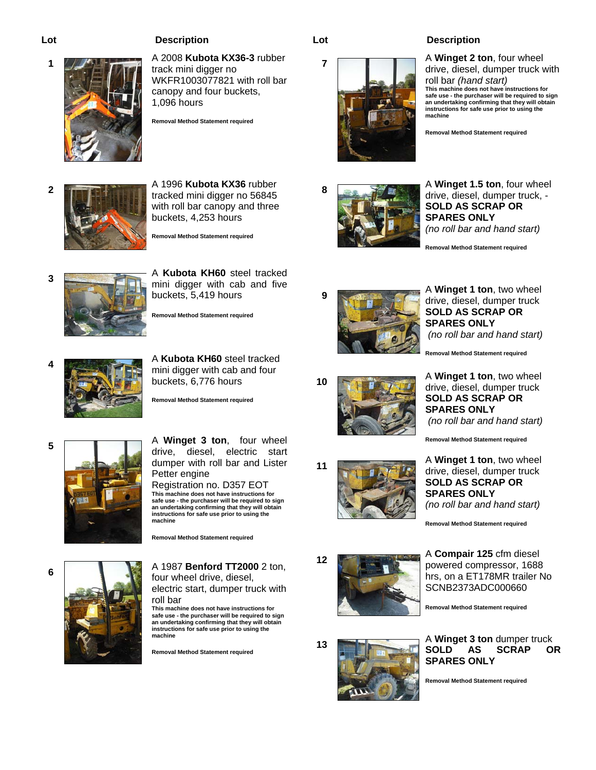

**<sup>1</sup>**A 2008 **Kubota KX36-3** rubber track mini digger no WKFR1003077821 with roll bar canopy and four buckets, 1,096 hours

**Removal Method Statement required**



**<sup>2</sup>**A 1996 **Kubota KX36** rubber tracked mini digger no 56845 with roll bar canopy and three buckets, 4,253 hours

**Removal Method Statement required**



**<sup>3</sup>**A **Kubota KH60** steel tracked mini digger with cab and five buckets, 5,419 hours

**Removal Method Statement required**



**<sup>4</sup>**A **Kubota KH60** steel tracked mini digger with cab and four buckets, 6,776 hours

**Removal Method Statement required**



**<sup>5</sup>**A **Winget 3 ton**, four wheel drive, diesel, electric start dumper with roll bar and Lister Petter engine

> Registration no. D357 EOT **This machine does not have instructions for safe use - the purchaser will be required to sign an undertaking confirming that they will obtain instructions for safe use prior to using the machine**

**Removal Method Statement required**

**<sup>6</sup>**A 1987 **Benford TT2000** 2 ton, four wheel drive, diesel, electric start, dumper truck with

> roll bar **This machine does not have instructions for safe use - the purchaser will be required to sign an undertaking confirming that they will obtain instructions for safe use prior to using the machine**

**Removal Method Statement required**



**<sup>7</sup>** <sup>A</sup>**Winget 2 ton**, four wheel drive, diesel, dumper truck with roll bar *(hand start)* **This machine does not have instructions for safe use - the purchaser will be required to sign an undertaking confirming that they will obtain instructions for safe use prior to using the machine** 

**Removal Method Statement required** 



**<sup>8</sup>** <sup>A</sup>**Winget 1.5 ton**, four wheel drive, diesel, dumper truck, - **SOLD AS SCRAP OR SPARES ONLY** *(no roll bar and hand start)* 

**Removal Method Statement required** 



**<sup>9</sup>** <sup>A</sup>**Winget 1 ton**, two wheel drive, diesel, dumper truck **SOLD AS SCRAP OR SPARES ONLY**  *(no roll bar and hand start)*

**Removal Method Statement required**





**Removal Method Statement required**



**<sup>11</sup>** <sup>A</sup>**Winget 1 ton**, two wheel drive, diesel, dumper truck **SOLD AS SCRAP OR SPARES ONLY** *(no roll bar and hand start)*

**Removal Method Statement required** 



**<sup>12</sup>** <sup>A</sup>**Compair 125** cfm diesel powered compressor, 1688 hrs, on a ET178MR trailer No SCNB2373ADC000660

**Removal Method Statement required**



# **13 A** Winget 3 ton dumper truck<br>**13 SOLD AS SCRAP OR SCRAP SPARES ONLY**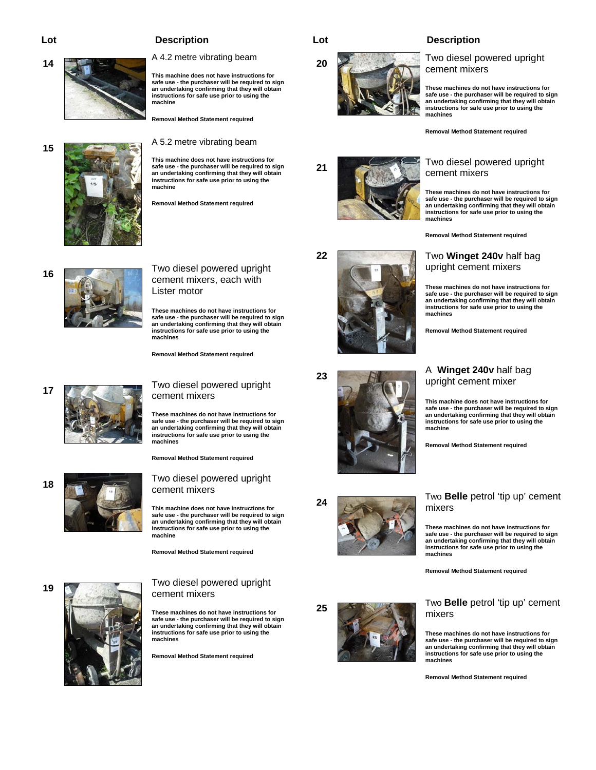# **14** A 4.2 metre vibrating beam

**This machine does not have instructions for safe use - the purchaser will be required to sign an undertaking confirming that they will obtain instructions for safe use prior to using the machine** 

**Removal Method Statement required**

**15**A 5.2 metre vibrating beam

**This machine does not have instructions for safe use - the purchaser will be required to sign an undertaking confirming that they will obtain instructions for safe use prior to using the machine** 

**Removal Method Statement required**



# **<sup>16</sup>**Two diesel powered upright cement mixers, each with Lister motor

**These machines do not have instructions for safe use - the purchaser will be required to sign an undertaking confirming that they will obtain instructions for safe use prior to using the machines** 

**Removal Method Statement required**



# **17** Two diesel powered upright cement mixers

**These machines do not have instructions for safe use - the purchaser will be required to sign an undertaking confirming that they will obtain instructions for safe use prior to using the machines** 

**Removal Method Statement required**

# **<sup>18</sup>**Two diesel powered upright cement mixers

**This machine does not have instructions for safe use - the purchaser will be required to sign an undertaking confirming that they will obtain instructions for safe use prior to using the machine** 

**Removal Method Statement required**



# 19 Two diesel powered upright cement mixers

**These machines do not have instructions for safe use - the purchaser will be required to sign an undertaking confirming that they will obtain instructions for safe use prior to using the machines** 

**Removal Method Statement required**



**<sup>20</sup>** Two diesel powered upright cement mixers

> **These machines do not have instructions for safe use - the purchaser will be required to sign an undertaking confirming that they will obtain instructions for safe use prior to using the machines**

**Removal Method Statement required** 

# **21** Two diesel powered upright cement mixers

**These machines do not have instructions for safe use - the purchaser will be required to sign an undertaking confirming that they will obtain instructions for safe use prior to using the machines** 

**Removal Method Statement required**

# **22** Two **Winget 240v** half bag upright cement mixers

**These machines do not have instructions for safe use - the purchaser will be required to sign an undertaking confirming that they will obtain instructions for safe use prior to using the machines** 

**Removal Method Statement required**



# **23** A Winget 240v half bag upright cement mixer

**This machine does not have instructions for safe use - the purchaser will be required to sign an undertaking confirming that they will obtain instructions for safe use prior to using the machine** 

**Removal Method Statement required**



# **<sup>24</sup>** Two **Belle** petrol 'tip up' cement mixers

**These machines do not have instructions for safe use - the purchaser will be required to sign an undertaking confirming that they will obtain instructions for safe use prior to using the machines** 

**Removal Method Statement required**



# **<sup>25</sup>** Two **Belle** petrol 'tip up' cement mixers

**These machines do not have instructions for safe use - the purchaser will be required to sign an undertaking confirming that they will obtain instructions for safe use prior to using the machines** 

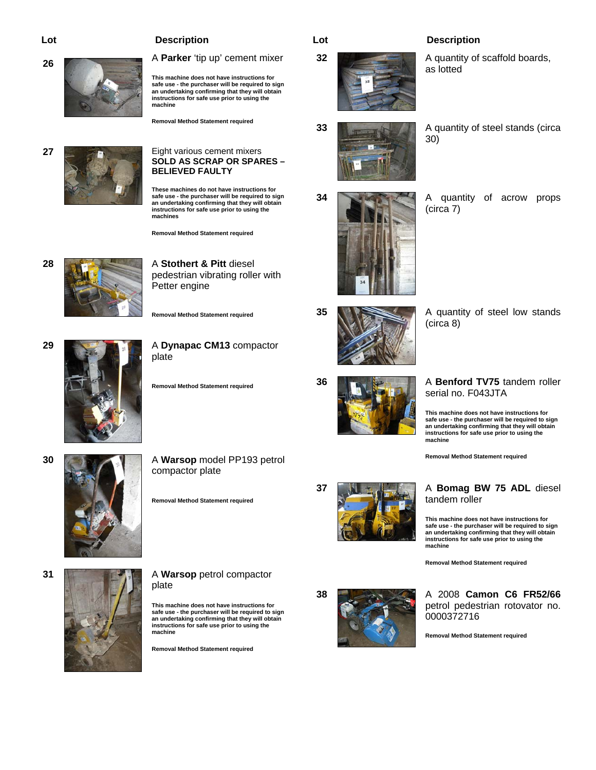

**26**A **Parker** 'tip up' cement mixer

**This machine does not have instructions for safe use - the purchaser will be required to sign an undertaking confirming that they will obtain instructions for safe use prior to using the machine** 

**Removal Method Statement required**

## **27 Eight various cement mixers SOLD AS SCRAP OR SPARES – BELIEVED FAULTY**

**These machines do not have instructions for safe use - the purchaser will be required to sign an undertaking confirming that they will obtain instructions for safe use prior to using the machines** 

**Removal Method Statement required**



**28** A **Stothert & Pitt** diesel pedestrian vibrating roller with Petter engine

**Removal Method Statement required**



**29 <b>A** Dynapac CM13 compactor plate

**Removal Method Statement required**



**30 A Warsop** model PP193 petrol compactor plate

**Removal Method Statement required**



# **31 A Warsop** petrol compactor plate

**This machine does not have instructions for safe use - the purchaser will be required to sign an undertaking confirming that they will obtain instructions for safe use prior to using the machine** 

**Removal Method Statement required**

**32** A quantity of scaffold boards, as lotted

**33 A** quantity of steel stands (circa 30)



**35** A quantity of steel low stands

(circa 8)



# **36 A Benford TV75** tandem roller serial no. F043JTA

**This machine does not have instructions for safe use - the purchaser will be required to sign an undertaking confirming that they will obtain instructions for safe use prior to using the machine** 

**Removal Method Statement required**

# **37 A Bomag BW 75 ADL** diesel tandem roller

**This machine does not have instructions for safe use - the purchaser will be required to sign an undertaking confirming that they will obtain instructions for safe use prior to using the machine** 

**Removal Method Statement required**



# **38** A 2008 **Camon C6 FR52/66** petrol pedestrian rotovator no. 0000372716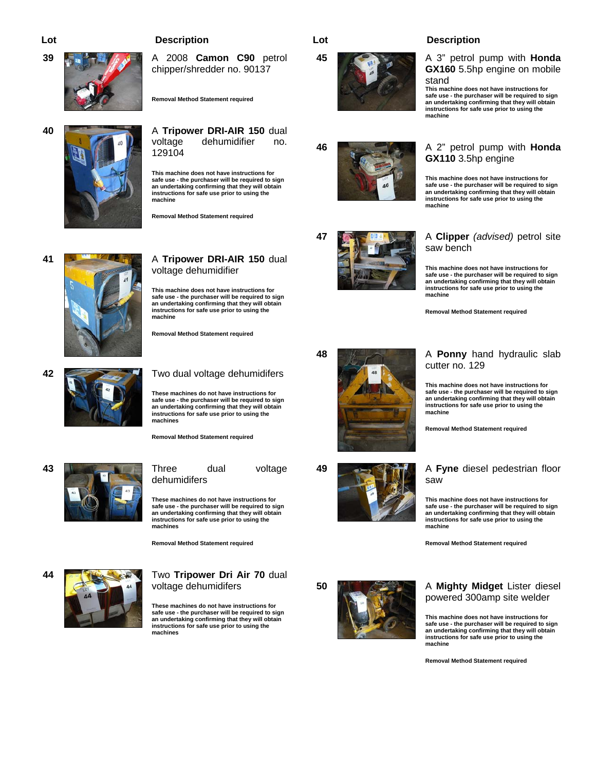

**39 <b>A**  $\frac{1}{4}$  **A** 2008 **Camon C90** petrol chipper/shredder no. 90137

**Removal Method Statement required**



# **40 <b>A** Tripower DRI-AIR 150 dual voltage dehumidifier no. 129104

**This machine does not have instructions for safe use - the purchaser will be required to sign an undertaking confirming that they will obtain instructions for safe use prior to using the machine** 

**Removal Method Statement required**



# **41 A Tripower DRI-AIR 150** dual voltage dehumidifier

**This machine does not have instructions for safe use - the purchaser will be required to sign an undertaking confirming that they will obtain instructions for safe use prior to using the machine** 

**Removal Method Statement required**



# **42** Two dual voltage dehumidifers

**These machines do not have instructions for safe use - the purchaser will be required to sign an undertaking confirming that they will obtain instructions for safe use prior to using the machines** 

dehumidifers

**machines** 



**Removal Method Statement required**

**44** Two **Tripower Dri Air 70** dual

**These machines do not have instructions for safe use - the purchaser will be required to sign an undertaking confirming that they will obtain instructions for safe use prior to using the** 

**Removal Method Statement required**

voltage dehumidifers

**These machines do not have instructions for safe use - the purchaser will be required to sign an undertaking confirming that they will obtain instructions for safe use prior to using the machines** 







**45** A 3" petrol pump with **Honda GX160** 5.5hp engine on mobile stand

> **This machine does not have instructions for safe use - the purchaser will be required to sign an undertaking confirming that they will obtain instructions for safe use prior to using the machine**

# **46** A 2" petrol pump with **Honda GX110** 3.5hp engine

**This machine does not have instructions for safe use - the purchaser will be required to sign an undertaking confirming that they will obtain instructions for safe use prior to using the machine** 

# **47** A **Clipper** *(advised)* petrol site saw bench

**This machine does not have instructions for safe use - the purchaser will be required to sign an undertaking confirming that they will obtain instructions for safe use prior to using the machine** 

**Removal Method Statement required**



# **48 A Ponny** hand hydraulic slab cutter no. 129

**This machine does not have instructions for safe use - the purchaser will be required to sign an undertaking confirming that they will obtain instructions for safe use prior to using the machine** 

**Removal Method Statement required**



# **49** A **Fyne** diesel pedestrian floor saw

**This machine does not have instructions for safe use - the purchaser will be required to sign an undertaking confirming that they will obtain instructions for safe use prior to using the machine** 

**Removal Method Statement required**

# **50** A **Mighty Midget** Lister diesel powered 300amp site welder

**This machine does not have instructions for safe use - the purchaser will be required to sign an undertaking confirming that they will obtain instructions for safe use prior to using the machine** 



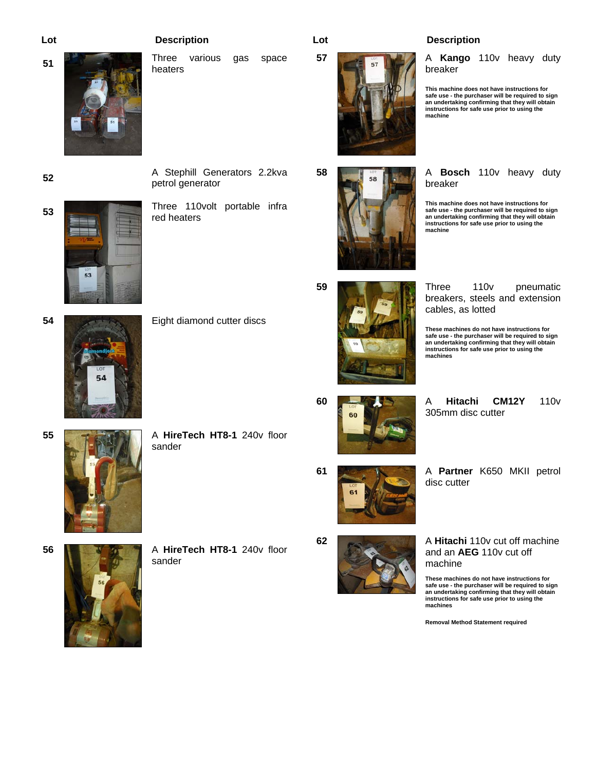heaters

**<sup>52</sup>**A Stephill Generators 2.2kva

petrol generator

**51 1Three various gas space** 



**59 Three** 110v pneumatic

cables, as lotted

**57 A Kango** 110v heavy duty breaker

> **This machine does not have instructions for safe use - the purchaser will be required to sign an undertaking confirming that they will obtain instructions for safe use prior to using the machine**

**58 A Bosch** 110v heavy duty breaker

> **This machine does not have instructions for safe use - the purchaser will be required to sign an undertaking confirming that they will obtain instructions for safe use prior to using the machine**



**53** Three 110volt portable infra red heaters



**54 Eight diamond cutter discs** 





**These machines do not have instructions for safe use - the purchaser will be required to sign an undertaking confirming that they will obtain instructions for safe use prior to using the machines** 

breakers, steels and extension

**60** A **Hitachi CM12Y** 110v 305mm disc cutter



**61** A **Partner** K650 MKII petrol disc cutter



**62** A **Hitachi** 110v cut off machine and an **AEG** 110v cut off machine

> **These machines do not have instructions for safe use - the purchaser will be required to sign an undertaking confirming that they will obtain instructions for safe use prior to using the machines**

**Removal Method Statement required**

**55 A HireTech HT8-1** 240v floor sander



**56 <b>A A HireTech HT8-1** 240v floor sander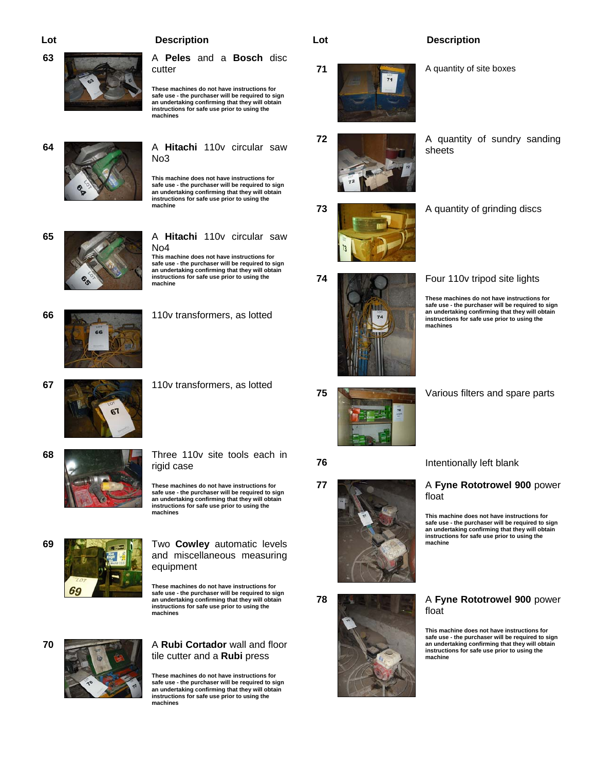

**63** A **Peles** and a **Bosch** disc cutter

> **These machines do not have instructions for safe use - the purchaser will be required to sign an undertaking confirming that they will obtain instructions for safe use prior to using the machines**

**64 <b>A** Hitachi 110v circular saw No3

> **This machine does not have instructions for safe use - the purchaser will be required to sign an undertaking confirming that they will obtain instructions for safe use prior to using the machine**



**65 A Hitachi** 110v circular saw No4

**This machine does not have instructions for safe use - the purchaser will be required to sign an undertaking confirming that they will obtain instructions for safe use prior to using the machine** 





**67** 110v transformers, as lotted

**68** Three 110v site tools each in rigid case **These machines do not have instructions for safe use - the purchaser will be required to sign an undertaking confirming that they will obtain instructions for safe use prior to using the** 

**machines** 

| o |  |
|---|--|

**69 <b>ATING COWLEY EXECUTE:** Two **Cowley** automatic levels and miscellaneous measuring equipment

> **These machines do not have instructions for safe use - the purchaser will be required to sign an undertaking confirming that they will obtain instructions for safe use prior to using the machines**



# **70 A Rubi Cortador** wall and floor tile cutter and a **Rubi** press

**These machines do not have instructions for safe use - the purchaser will be required to sign an undertaking confirming that they will obtain instructions for safe use prior to using the machines** 



**72 A** quantity of sundry sanding sheets

**73 A** quantity of grinding discs



**74 Four 110v tripod site lights** 

**These machines do not have instructions for safe use - the purchaser will be required to sign an undertaking confirming that they will obtain instructions for safe use prior to using the machines** 

**75** Various filters and spare parts

**76** Intentionally left blank



**77 BIGGER A Fyne Rototrowel 900** power

**This machine does not have instructions for safe use - the purchaser will be required to sign an undertaking confirming that they will obtain instructions for safe use prior to using the machine** 



# **78 <b>A** Fyne Rototrowel 900 power float

**This machine does not have instructions for safe use - the purchaser will be required to sign an undertaking confirming that they will obtain instructions for safe use prior to using the machine**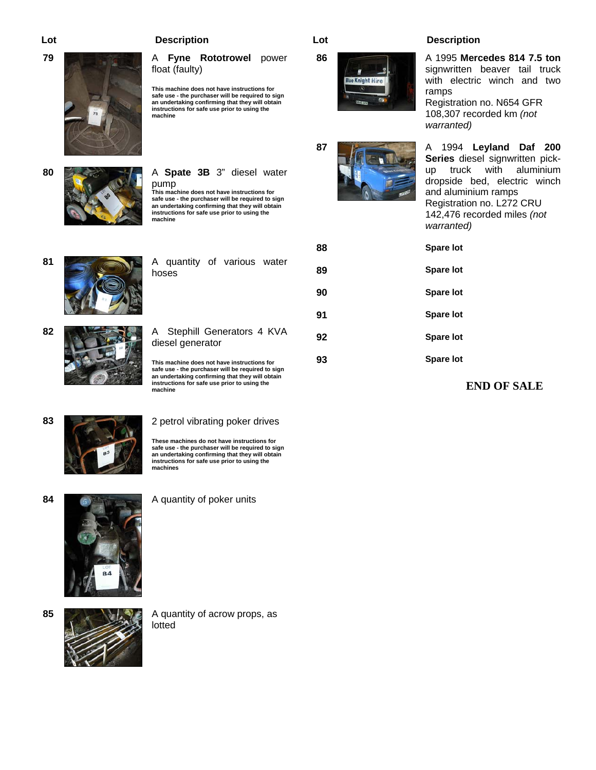

**79** A **Fyne Rototrowel** power float (faulty)

> **This machine does not have instructions for safe use - the purchaser will be required to sign an undertaking confirming that they will obtain instructions for safe use prior to using the machine**



**80** A **Spate 3B** 3" diesel water pump **This machine does not have instructions for safe use - the purchaser will be required to sign an undertaking confirming that they will obtain** 

**instructions for safe use prior to using the** 

**machine** 

**81 A** quantity of various water

hoses

**82 A** Stephill Generators 4 KVA diesel generator

> **This machine does not have instructions for safe use - the purchaser will be required to sign an undertaking confirming that they will obtain instructions for safe use prior to using the machine**



**83 2** petrol vibrating poker drives

**These machines do not have instructions for safe use - the purchaser will be required to sign an undertaking confirming that they will obtain instructions for safe use prior to using the machines** 



**84 A** quantity of poker units



**85 <b>A** A quantity of acrow props, as lotted



**86** A 1995 **Mercedes 814 7.5 ton** signwritten beaver tail truck with electric winch and two ramps

Registration no. N654 GFR 108,307 recorded km *(not warranted)*

**87** A 1994 **Leyland Daf 200 Series** diesel signwritten pickup truck with aluminium dropside bed, electric winch and aluminium ramps Registration no. L272 CRU 142,476 recorded miles *(not warranted)*

| 88 | <b>Spare lot</b> |
|----|------------------|
| 89 | <b>Spare lot</b> |
| 90 | <b>Spare lot</b> |
| 91 | <b>Spare lot</b> |
| 92 | <b>Spare lot</b> |
| 93 | <b>Spare lot</b> |

**END OF SALE**